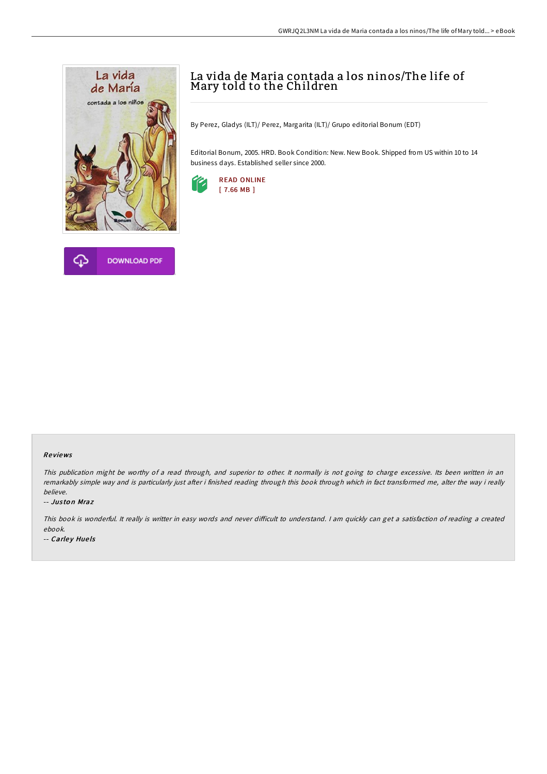

## La vida de Maria contada a los ninos/The life of Mary told to the Children

By Perez, Gladys (ILT)/ Perez, Margarita (ILT)/ Grupo editorial Bonum (EDT)

Editorial Bonum, 2005. HRD. Book Condition: New. New Book. Shipped from US within 10 to 14 business days. Established seller since 2000.



## Re views

This publication might be worthy of <sup>a</sup> read through, and superior to other. It normally is not going to charge excessive. Its been written in an remarkably simple way and is particularly just after i finished reading through this book through which in fact transformed me, alter the way i really believe.

-- Jus to n Mraz

This book is wonderful. It really is writter in easy words and never difficult to understand. I am quickly can get a satisfaction of reading a created ebook.

-- Carley Huels